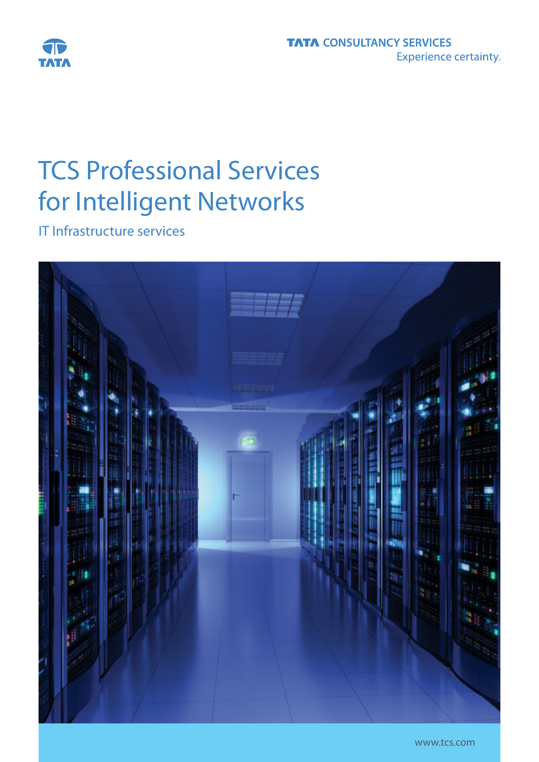

# TCS Professional Services for Intelligent Networks

IT Infrastructure services

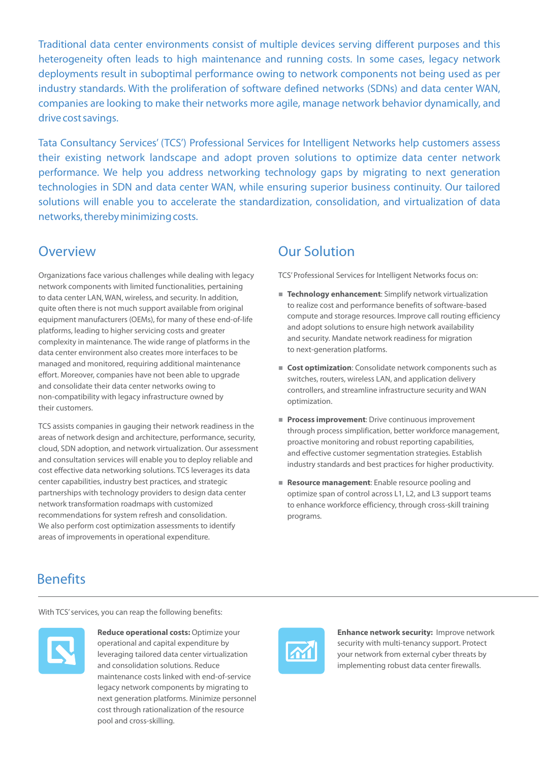Traditional data center environments consist of multiple devices serving different purposes and this heterogeneity often leads to high maintenance and running costs. In some cases, legacy network deployments result in suboptimal performance owing to network components not being used as per industry standards. With the proliferation of software defined networks (SDNs) and data center WAN, companies are looking to make their networks more agile, manage network behavior dynamically, and drive cost savings.

Tata Consultancy Services' (TCS') Professional Services for Intelligent Networks help customers assess their existing network landscape and adopt proven solutions to optimize data center network performance. We help you address networking technology gaps by migrating to next generation technologies in SDN and data center WAN, while ensuring superior business continuity. Our tailored solutions will enable you to accelerate the standardization, consolidation, and virtualization of data networks, thereby minimizing costs.

### **Overview**

Organizations face various challenges while dealing with legacy network components with limited functionalities, pertaining to data center LAN, WAN, wireless, and security. In addition, quite often there is not much support available from original equipment manufacturers (OEMs), for many of these end-of-life platforms, leading to higher servicing costs and greater complexity in maintenance. The wide range of platforms in the data center environment also creates more interfaces to be managed and monitored, requiring additional maintenance effort. Moreover, companies have not been able to upgrade and consolidate their data center networks owing to non-compatibility with legacy infrastructure owned by their customers.

TCS assists companies in gauging their network readiness in the areas of network design and architecture, performance, security, cloud, SDN adoption, and network virtualization. Our assessment and consultation services will enable you to deploy reliable and cost effective data networking solutions. TCS leverages its data center capabilities, industry best practices, and strategic partnerships with technology providers to design data center network transformation roadmaps with customized recommendations for system refresh and consolidation. We also perform cost optimization assessments to identify areas of improvements in operational expenditure.

## Our Solution

TCS' Professional Services for Intelligent Networks focus on:

- **Technology enhancement:** Simplify network virtualization to realize cost and performance benefits of software-based compute and storage resources. Improve call routing efficiency and adopt solutions to ensure high network availability and security. Mandate network readiness for migration to next-generation platforms.
- **Cost optimization**: Consolidate network components such as switches, routers, wireless LAN, and application delivery controllers, and streamline infrastructure security and WAN optimization.
- **Process improvement:** Drive continuous improvement through process simplification, better workforce management, proactive monitoring and robust reporting capabilities, and effective customer segmentation strategies. Establish industry standards and best practices for higher productivity.
- **Resource management:** Enable resource pooling and optimize span of control across L1, L2, and L3 support teams to enhance workforce efficiency, through cross-skill training programs.

## **Benefits**

With TCS' services, you can reap the following benefits:



**Reduce operational costs: Optimize your** operational and capital expenditure by leveraging tailored data center virtualization and consolidation solutions. Reduce maintenance costs linked with end-of-service legacy network components by migrating to next generation platforms. Minimize personnel cost through rationalization of the resource pool and cross-skilling.



**Enhance network security:** Improve network security with multi-tenancy support. Protect your network from external cyber threats by implementing robust data center firewalls.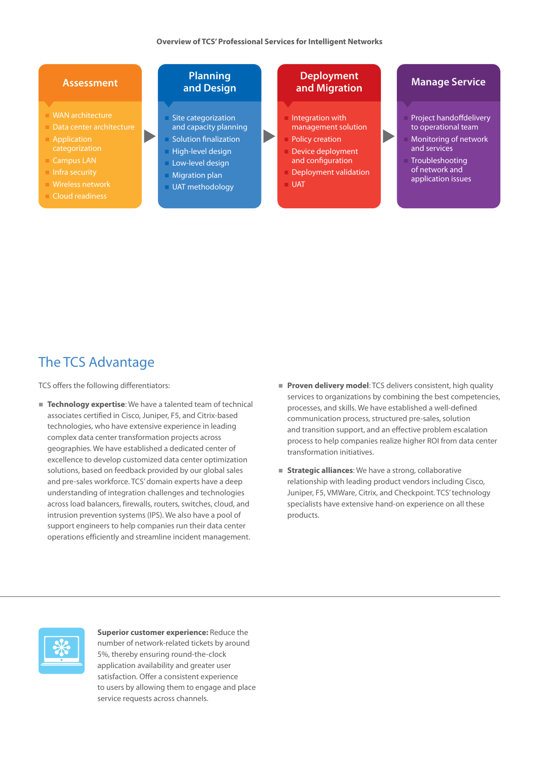$\blacktriangleright$ 

#### **Assessment**

- WAN architecture
- Data center architecture
- Application
- **Campus LAN**
- 
- n Wireless network
- n Cloud readiness

#### **Planning and Design**

- Site categorization and capacity planning **n** Solution finalization
- n High-level design
- n Low-level design
- **n Migration plan** n UAT methodology

## **Deployment**

- Integration with management solution
- Policy creation
- Device deployment and configuration
- Deployment validation
- UAT

#### **Manage Service**

- Project handoffdelivery to operational team
- Monitoring of network and services
- **Troubleshooting** of network and application issues

## The TCS Advantage

TCS offers the following differentiators:

- **Technology expertise**: We have a talented team of technical associates certified in Cisco, Juniper, F5, and Citrix-based technologies, who have extensive experience in leading complex data center transformation projects across geographies. We have established a dedicated center of excellence to develop customized data center optimization solutions, based on feedback provided by our global sales and pre-sales workforce. TCS' domain experts have a deep understanding of integration challenges and technologies across load balancers, firewalls, routers, switches, cloud, and intrusion prevention systems (IPS). We also have a pool of support engineers to help companies run their data center operations efficiently and streamline incident management.
- **Proven delivery model:** TCS delivers consistent, high quality services to organizations by combining the best competencies, processes, and skills. We have established a well-defined communication process, structured pre-sales, solution and transition support, and an effective problem escalation process to help companies realize higher ROI from data center transformation initiatives.
- **F** Strategic alliances: We have a strong, collaborative relationship with leading product vendors including Cisco, Juniper, F5, VMWare, Citrix, and Checkpoint. TCS' technology specialists have extensive hand-on experience on all these products.



**Superior customer experience:** Reduce the number of network-related tickets by around 5%, thereby ensuring round-the-clock application availability and greater user satisfaction. Offer a consistent experience to users by allowing them to engage and place service requests across channels.